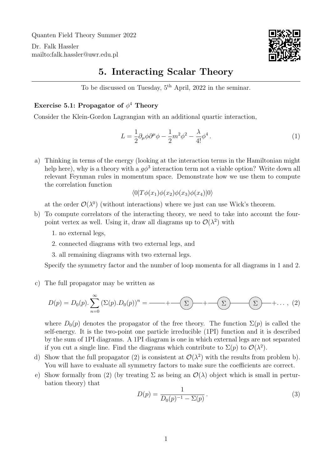Quanten Field Theory Summer 2022

Dr. Falk Hassler <mailto:falk.hassler@uwr.edu.pl>



## 5. Interacting Scalar Theory

To be discussed on Tuesday, 5th April, 2022 in the seminar.

## Exercise 5.1: Propagator of  $\phi^4$  Theory

Consider the Klein-Gordon Lagrangian with an additional quartic interaction,

$$
L = \frac{1}{2}\partial_{\mu}\phi\partial^{\mu}\phi - \frac{1}{2}m^2\phi^2 - \frac{\lambda}{4!}\phi^4.
$$
 (1)

a) Thinking in terms of the energy (looking at the interaction terms in the Hamiltonian might help here), why is a theory with a  $g\phi^3$  interaction term not a viable option? Write down all relevant Feynman rules in momentum space. Demonstrate how we use them to compute the correlation function

$$
\langle 0|T\phi(x_1)\phi(x_2)\phi(x_3)\phi(x_4)|0\rangle
$$

at the order  $\mathcal{O}(\lambda^0)$  (without interactions) where we just can use Wick's theorem.

- <span id="page-0-1"></span><span id="page-0-0"></span>b) To compute correlators of the interacting theory, we need to take into account the fourpoint vertex as well. Using it, draw all diagrams up to  $\mathcal{O}(\lambda^2)$  with
	- 1. no external legs,
	- 2. connected diagrams with two external legs, and
	- 3. all remaining diagrams with two external legs.

Specify the symmetry factor and the number of loop momenta for all diagrams in [1](#page-0-0) and [2.](#page-0-1)

## c) The full propagator may be written as

<span id="page-0-2"></span>D(p) = D0(p). X∞ n=0 (Σ(p).D0(p))<sup>n</sup> = + Σ + Σ Σ +. . . , (2)

where  $D_0(p)$  denotes the propagator of the free theory. The function  $\Sigma(p)$  is called the self-energy. It is the two-point one particle irreducible (1PI) function and it is described by the sum of 1PI diagrams. A 1PI diagram is one in which external legs are not separated if you cut a single line. Find the diagrams which contribute to  $\Sigma(p)$  to  $\mathcal{O}(\lambda^2)$ .

- d) Show that the full propagator [\(2\)](#page-0-2) is consistent at  $\mathcal{O}(\lambda^2)$  with the results from problem b). You will have to evaluate all symmetry factors to make sure the coefficients are correct.
- e) Show formally from [\(2\)](#page-0-2) (by treating  $\Sigma$  as being an  $\mathcal{O}(\lambda)$  object which is small in perturbation theory) that

$$
D(p) = \frac{1}{D_0(p)^{-1} - \Sigma(p)}.
$$
\n(3)